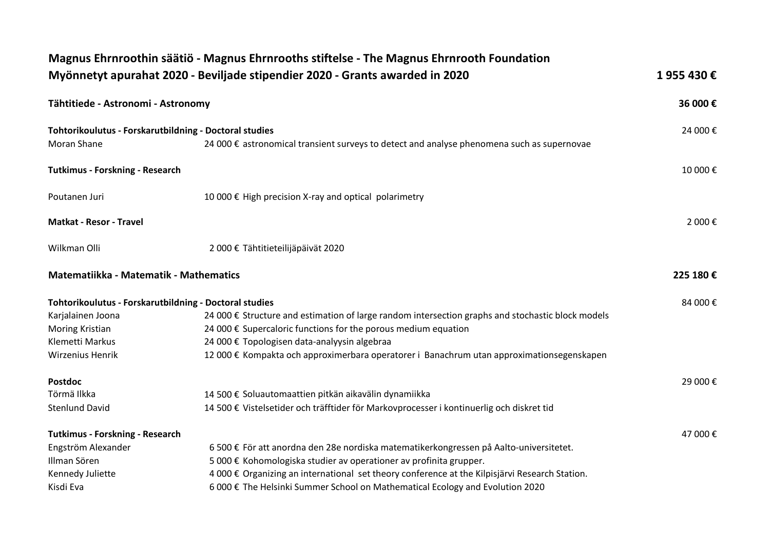|                                                                       | Magnus Ehrnroothin säätiö - Magnus Ehrnrooths stiftelse - The Magnus Ehrnrooth Foundation         |          |
|-----------------------------------------------------------------------|---------------------------------------------------------------------------------------------------|----------|
|                                                                       | Myönnetyt apurahat 2020 - Beviljade stipendier 2020 - Grants awarded in 2020                      | 1955430€ |
| Tähtitiede - Astronomi - Astronomy                                    |                                                                                                   | 36 000€  |
| Tohtorikoulutus - Forskarutbildning - Doctoral studies<br>Moran Shane | 24 000 € astronomical transient surveys to detect and analyse phenomena such as supernovae        | 24 000€  |
| <b>Tutkimus - Forskning - Research</b>                                |                                                                                                   | 10 000€  |
| Poutanen Juri                                                         | 10 000 € High precision X-ray and optical polarimetry                                             |          |
| <b>Matkat - Resor - Travel</b>                                        |                                                                                                   | 2 000€   |
| Wilkman Olli                                                          | 2 000 € Tähtitieteilijäpäivät 2020                                                                |          |
| Matematiikka - Matematik - Mathematics                                |                                                                                                   | 225 180€ |
| Tohtorikoulutus - Forskarutbildning - Doctoral studies                |                                                                                                   | 84 000€  |
| Karjalainen Joona                                                     | 24 000 € Structure and estimation of large random intersection graphs and stochastic block models |          |
| Moring Kristian                                                       | 24 000 € Supercaloric functions for the porous medium equation                                    |          |
| Klemetti Markus                                                       | 24 000 € Topologisen data-analyysin algebraa                                                      |          |
| Wirzenius Henrik                                                      | 12 000 € Kompakta och approximerbara operatorer i Banachrum utan approximationsegenskapen         |          |
| <b>Postdoc</b>                                                        |                                                                                                   | 29 000€  |
| Törmä Ilkka                                                           | 14 500 € Soluautomaattien pitkän aikavälin dynamiikka                                             |          |
| <b>Stenlund David</b>                                                 | 14 500 € Vistelsetider och träfftider för Markovprocesser i kontinuerlig och diskret tid          |          |
| <b>Tutkimus - Forskning - Research</b>                                |                                                                                                   | 47 000€  |
| Engström Alexander                                                    | 6 500 € För att anordna den 28e nordiska matematikerkongressen på Aalto-universitetet.            |          |
| Illman Sören                                                          | 5 000 € Kohomologiska studier av operationer av profinita grupper.                                |          |
| Kennedy Juliette                                                      | 4 000 € Organizing an international set theory conference at the Kilpisjärvi Research Station.    |          |
| Kisdi Eva                                                             | 6 000 € The Helsinki Summer School on Mathematical Ecology and Evolution 2020                     |          |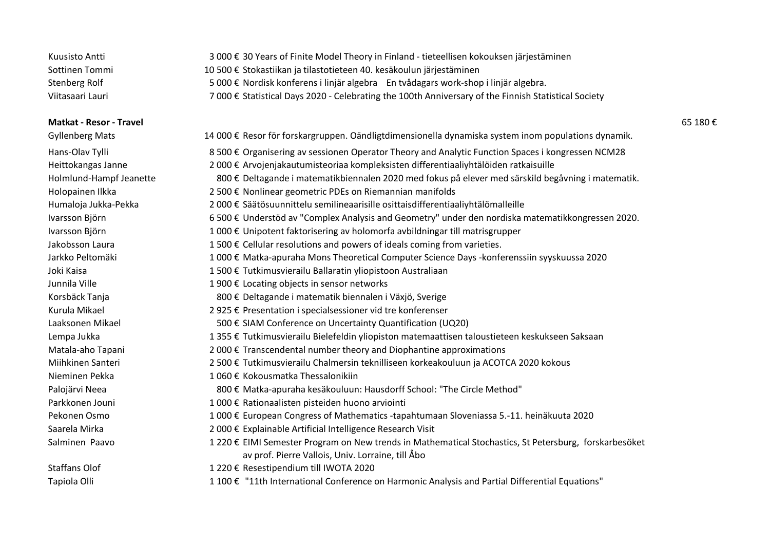| Kuusisto Antti   | 3 000 € 30 Years of Finite Model Theory in Finland - tieteellisen kokouksen järjestäminen            |
|------------------|------------------------------------------------------------------------------------------------------|
| Sottinen Tommi   | 10 500 € Stokastiikan ja tilastotieteen 40. kesäkoulun järjestäminen                                 |
| Stenberg Rolf    | 5 000 € Nordisk konferens i linjär algebra En tvådagars work-shop i linjär algebra.                  |
| Viitasaari Lauri | 7 000 € Statistical Days 2020 - Celebrating the 100th Anniversary of the Finnish Statistical Society |

#### **Matkat - Resor - Travel** 65 180 €

| <b>Gyllenberg Mats</b>  | 14 000 € Resor för forskargruppen. Oändligtdimensionella dynamiska system inom populations dynamik.    |
|-------------------------|--------------------------------------------------------------------------------------------------------|
| Hans-Olav Tylli         | 8 500 € Organisering av sessionen Operator Theory and Analytic Function Spaces i kongressen NCM28      |
| Heittokangas Janne      | 2 000 € Arvojenjakautumisteoriaa kompleksisten differentiaaliyhtälöiden ratkaisuille                   |
| Holmlund-Hampf Jeanette | 800 € Deltagande i matematikbiennalen 2020 med fokus på elever med särskild begåvning i matematik.     |
| Holopainen Ilkka        | 2 500 € Nonlinear geometric PDEs on Riemannian manifolds                                               |
| Humaloja Jukka-Pekka    | 2 000 € Säätösuunnittelu semilineaarisille osittaisdifferentiaaliyhtälömalleille                       |
| Ivarsson Björn          | 6 500 € Understöd av "Complex Analysis and Geometry" under den nordiska matematikkongressen 2020.      |
| Ivarsson Björn          | 1 000 € Unipotent faktorisering av holomorfa avbildningar till matrisgrupper                           |
| Jakobsson Laura         | 1 500 € Cellular resolutions and powers of ideals coming from varieties.                               |
| Jarkko Peltomäki        | 1 000 € Matka-apuraha Mons Theoretical Computer Science Days -konferenssiin syyskuussa 2020            |
| Joki Kaisa              | 1 500 € Tutkimusvierailu Ballaratin yliopistoon Australiaan                                            |
| Junnila Ville           | 1 900 € Locating objects in sensor networks                                                            |
| Korsbäck Tanja          | 800 € Deltagande i matematik biennalen i Växjö, Sverige                                                |
| Kurula Mikael           | 2 925 € Presentation i specialsessioner vid tre konferenser                                            |
| Laaksonen Mikael        | 500 € SIAM Conference on Uncertainty Quantification (UQ20)                                             |
| Lempa Jukka             | 1 355 € Tutkimusvierailu Bielefeldin yliopiston matemaattisen taloustieteen keskukseen Saksaan         |
| Matala-aho Tapani       | 2 000 € Transcendental number theory and Diophantine approximations                                    |
| Miihkinen Santeri       | 2 500 € Tutkimusvierailu Chalmersin teknilliseen korkeakouluun ja ACOTCA 2020 kokous                   |
| Nieminen Pekka          | 1 060 € Kokousmatka Thessalonikiin                                                                     |
| Palojärvi Neea          | 800 € Matka-apuraha kesäkouluun: Hausdorff School: "The Circle Method"                                 |
| Parkkonen Jouni         | 1 000 € Rationaalisten pisteiden huono arviointi                                                       |
| Pekonen Osmo            | 1 000 € European Congress of Mathematics -tapahtumaan Sloveniassa 5.-11. heinäkuuta 2020               |
| Saarela Mirka           | 2 000 € Explainable Artificial Intelligence Research Visit                                             |
| Salminen Paavo          | 1 220 € EIMI Semester Program on New trends in Mathematical Stochastics, St Petersburg, forskarbesöket |
|                         | av prof. Pierre Vallois, Univ. Lorraine, till Åbo                                                      |
| <b>Staffans Olof</b>    | 1 220 € Resestipendium till IWOTA 2020                                                                 |
| Tapiola Olli            | 1 100 € "11th International Conference on Harmonic Analysis and Partial Differential Equations"        |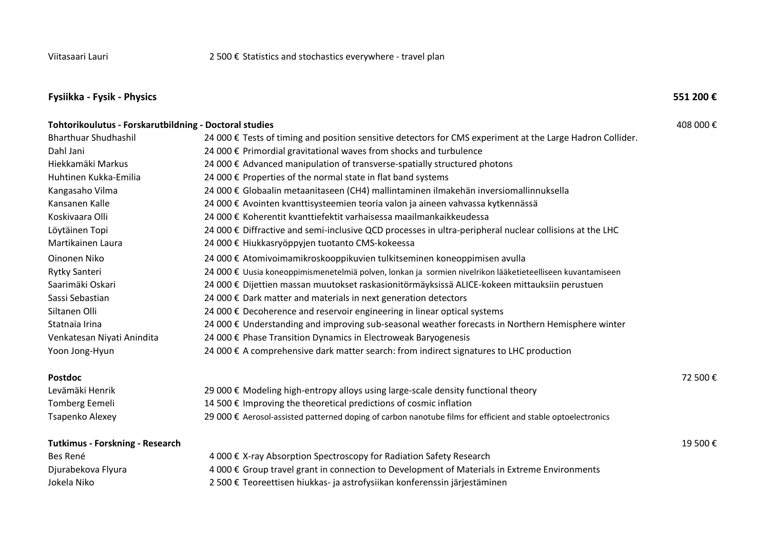# **Fysiikka - Fysik - Physics 551 200 €**

| Tohtorikoulutus - Forskarutbildning - Doctoral studies |                                                                                                              | 408 000€ |
|--------------------------------------------------------|--------------------------------------------------------------------------------------------------------------|----------|
| <b>Bharthuar Shudhashil</b>                            | 24 000 € Tests of timing and position sensitive detectors for CMS experiment at the Large Hadron Collider.   |          |
| Dahl Jani                                              | 24 000 € Primordial gravitational waves from shocks and turbulence                                           |          |
| Hiekkamäki Markus                                      | 24 000 € Advanced manipulation of transverse-spatially structured photons                                    |          |
| Huhtinen Kukka-Emilia                                  | 24 000 € Properties of the normal state in flat band systems                                                 |          |
| Kangasaho Vilma                                        | 24 000 € Globaalin metaanitaseen (CH4) mallintaminen ilmakehän inversiomallinnuksella                        |          |
| Kansanen Kalle                                         | 24 000 € Avointen kvanttisysteemien teoria valon ja aineen vahvassa kytkennässä                              |          |
| Koskivaara Olli                                        | 24 000 € Koherentit kvanttiefektit varhaisessa maailmankaikkeudessa                                          |          |
| Löytäinen Topi                                         | 24 000 € Diffractive and semi-inclusive QCD processes in ultra-peripheral nuclear collisions at the LHC      |          |
| Martikainen Laura                                      | 24 000 € Hiukkasryöppyjen tuotanto CMS-kokeessa                                                              |          |
| Oinonen Niko                                           | 24 000 € Atomivoimamikroskooppikuvien tulkitseminen koneoppimisen avulla                                     |          |
| Rytky Santeri                                          | 24 000 € Uusia koneoppimismenetelmiä polven, lonkan ja sormien nivelrikon lääketieteelliseen kuvantamiseen   |          |
| Saarimäki Oskari                                       | 24 000 € Dijettien massan muutokset raskasionitörmäyksissä ALICE-kokeen mittauksiin perustuen                |          |
| Sassi Sebastian                                        | 24 000 € Dark matter and materials in next generation detectors                                              |          |
| Siltanen Olli                                          | 24 000 € Decoherence and reservoir engineering in linear optical systems                                     |          |
| Statnaia Irina                                         | 24 000 € Understanding and improving sub-seasonal weather forecasts in Northern Hemisphere winter            |          |
| Venkatesan Niyati Anindita                             | 24 000 € Phase Transition Dynamics in Electroweak Baryogenesis                                               |          |
| Yoon Jong-Hyun                                         | 24 000 € A comprehensive dark matter search: from indirect signatures to LHC production                      |          |
| <b>Postdoc</b>                                         |                                                                                                              | 72 500€  |
| Levämäki Henrik                                        | 29 000 € Modeling high-entropy alloys using large-scale density functional theory                            |          |
| <b>Tomberg Eemeli</b>                                  | 14 500 € Improving the theoretical predictions of cosmic inflation                                           |          |
| Tsapenko Alexey                                        | 29 000 € Aerosol-assisted patterned doping of carbon nanotube films for efficient and stable optoelectronics |          |
| <b>Tutkimus - Forskning - Research</b>                 |                                                                                                              | 19 500€  |
| Bes René                                               | 4 000 € X-ray Absorption Spectroscopy for Radiation Safety Research                                          |          |
| Djurabekova Flyura                                     | 4 000 € Group travel grant in connection to Development of Materials in Extreme Environments                 |          |
| Jokela Niko                                            | 2 500 € Teoreettisen hiukkas- ja astrofysiikan konferenssin järjestäminen                                    |          |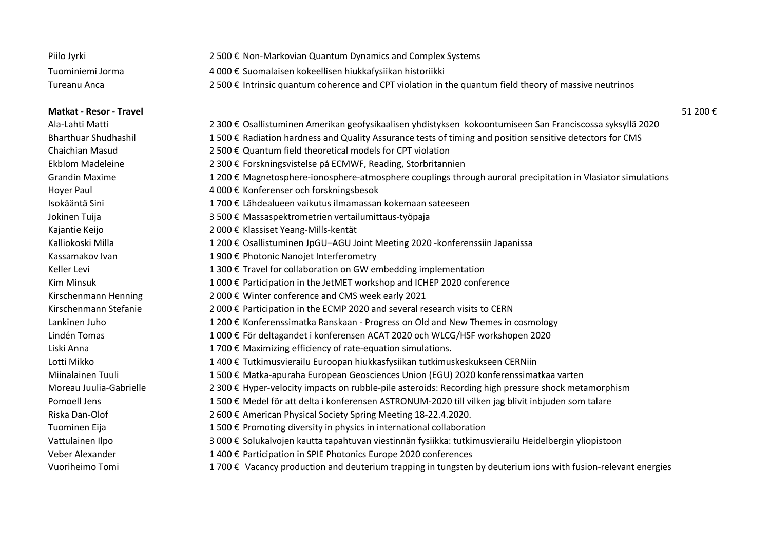| Piilo Jyrki      | 2 500 € Non-Markovian Quantum Dynamics and Complex Systems                                             |
|------------------|--------------------------------------------------------------------------------------------------------|
| Tuominiemi Jorma | 4 000 € Suomalaisen kokeellisen hiukkafysiikan historiikki                                             |
| Tureanu Anca     | 2 500 € Intrinsic quantum coherence and CPT violation in the quantum field theory of massive neutrinos |

#### **Matkat - Resor - Travel** 51 200 €

| Ala-Lahti Matti             | 2 300 € Osallistuminen Amerikan geofysikaalisen yhdistyksen kokoontumiseen San Franciscossa syksyllä 2020     |
|-----------------------------|---------------------------------------------------------------------------------------------------------------|
| <b>Bharthuar Shudhashil</b> | 1 500 € Radiation hardness and Quality Assurance tests of timing and position sensitive detectors for CMS     |
| <b>Chaichian Masud</b>      | 2 500 € Quantum field theoretical models for CPT violation                                                    |
| <b>Ekblom Madeleine</b>     | 2 300 € Forskningsvistelse på ECMWF, Reading, Storbritannien                                                  |
| <b>Grandin Maxime</b>       | 1 200 € Magnetosphere-ionosphere-atmosphere couplings through auroral precipitation in Vlasiator simulations  |
| Hoyer Paul                  | 4 000 € Konferenser och forskningsbesok                                                                       |
| Isokääntä Sini              | 1 700 € Lähdealueen vaikutus ilmamassan kokemaan sateeseen                                                    |
| Jokinen Tuija               | 3 500 € Massaspektrometrien vertailumittaus-työpaja                                                           |
| Kajantie Keijo              | 2 000 € Klassiset Yeang-Mills-kentät                                                                          |
| Kalliokoski Milla           | 1 200 € Osallistuminen JpGU-AGU Joint Meeting 2020 - konferenssiin Japanissa                                  |
| Kassamakov Ivan             | 1 900 € Photonic Nanojet Interferometry                                                                       |
| Keller Levi                 | 1 300 € Travel for collaboration on GW embedding implementation                                               |
| <b>Kim Minsuk</b>           | 1 000 € Participation in the JetMET workshop and ICHEP 2020 conference                                        |
| Kirschenmann Henning        | 2 000 € Winter conference and CMS week early 2021                                                             |
| Kirschenmann Stefanie       | 2 000 € Participation in the ECMP 2020 and several research visits to CERN                                    |
| Lankinen Juho               | 1 200 € Konferenssimatka Ranskaan - Progress on Old and New Themes in cosmology                               |
| Lindén Tomas                | 1 000 € För deltagandet i konferensen ACAT 2020 och WLCG/HSF workshopen 2020                                  |
| Liski Anna                  | 1700 € Maximizing efficiency of rate-equation simulations.                                                    |
| Lotti Mikko                 | 1 400 € Tutkimusvierailu Euroopan hiukkasfysiikan tutkimuskeskukseen CERNiin                                  |
| Miinalainen Tuuli           | 1 500 € Matka-apuraha European Geosciences Union (EGU) 2020 konferenssimatkaa varten                          |
| Moreau Juulia-Gabrielle     | 2 300 € Hyper-velocity impacts on rubble-pile asteroids: Recording high pressure shock metamorphism           |
| Pomoell Jens                | 1 500 € Medel för att delta i konferensen ASTRONUM-2020 till vilken jag blivit inbjuden som talare            |
| Riska Dan-Olof              | 2 600 € American Physical Society Spring Meeting 18-22.4.2020.                                                |
| Tuominen Eija               | 1 500 € Promoting diversity in physics in international collaboration                                         |
| Vattulainen Ilpo            | 3 000 € Solukalvojen kautta tapahtuvan viestinnän fysiikka: tutkimusvierailu Heidelbergin yliopistoon         |
| Veber Alexander             | 1 400 € Participation in SPIE Photonics Europe 2020 conferences                                               |
| Vuoriheimo Tomi             | 1 700 € Vacancy production and deuterium trapping in tungsten by deuterium ions with fusion-relevant energies |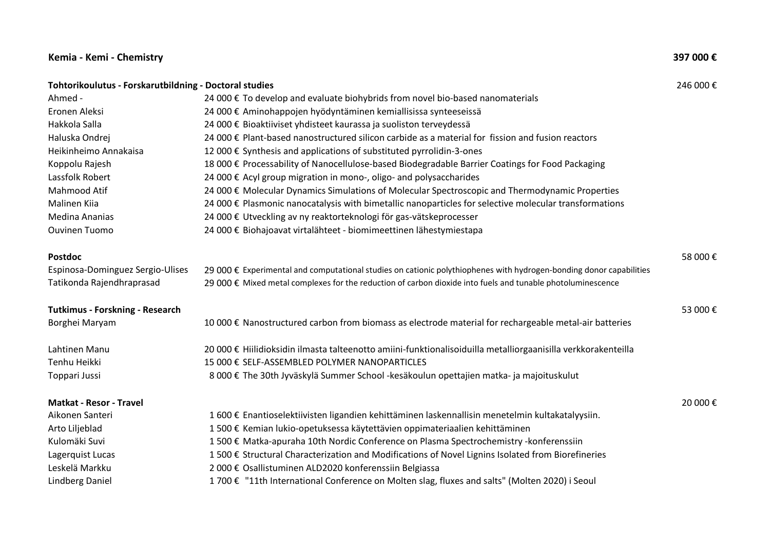## **Kemia - Kemi - Chemistry 397 000 €**

| Tohtorikoulutus - Forskarutbildning - Doctoral studies |                                                                                                                     | 246 000€ |
|--------------------------------------------------------|---------------------------------------------------------------------------------------------------------------------|----------|
| Ahmed -                                                | 24 000 € To develop and evaluate biohybrids from novel bio-based nanomaterials                                      |          |
| Eronen Aleksi                                          | 24 000 € Aminohappojen hyödyntäminen kemiallisissa synteeseissä                                                     |          |
| Hakkola Salla                                          | 24 000 € Bioaktiiviset yhdisteet kaurassa ja suoliston terveydessä                                                  |          |
| Haluska Ondrej                                         | 24 000 € Plant-based nanostructured silicon carbide as a material for fission and fusion reactors                   |          |
| Heikinheimo Annakaisa                                  | 12 000 € Synthesis and applications of substituted pyrrolidin-3-ones                                                |          |
| Koppolu Rajesh                                         | 18 000 € Processability of Nanocellulose-based Biodegradable Barrier Coatings for Food Packaging                    |          |
| Lassfolk Robert                                        | 24 000 € Acyl group migration in mono-, oligo- and polysaccharides                                                  |          |
| Mahmood Atif                                           | 24 000 € Molecular Dynamics Simulations of Molecular Spectroscopic and Thermodynamic Properties                     |          |
| Malinen Kiia                                           | 24 000 € Plasmonic nanocatalysis with bimetallic nanoparticles for selective molecular transformations              |          |
| Medina Ananias                                         | 24 000 € Utveckling av ny reaktorteknologi för gas-vätskeprocesser                                                  |          |
| <b>Ouvinen Tuomo</b>                                   | 24 000 € Biohajoavat virtalähteet - biomimeettinen lähestymiestapa                                                  |          |
| <b>Postdoc</b>                                         |                                                                                                                     | 58 000€  |
| Espinosa-Dominguez Sergio-Ulises                       | 29 000 € Experimental and computational studies on cationic polythiophenes with hydrogen-bonding donor capabilities |          |
| Tatikonda Rajendhraprasad                              | 29 000 € Mixed metal complexes for the reduction of carbon dioxide into fuels and tunable photoluminescence         |          |
| <b>Tutkimus - Forskning - Research</b>                 |                                                                                                                     | 53 000€  |
| Borghei Maryam                                         | 10 000 € Nanostructured carbon from biomass as electrode material for rechargeable metal-air batteries              |          |
| Lahtinen Manu                                          | 20 000 € Hiilidioksidin ilmasta talteenotto amiini-funktionalisoiduilla metalliorgaanisilla verkkorakenteilla       |          |
| Tenhu Heikki                                           | 15 000 € SELF-ASSEMBLED POLYMER NANOPARTICLES                                                                       |          |
| Toppari Jussi                                          | 8 000 € The 30th Jyväskylä Summer School -kesäkoulun opettajien matka- ja majoituskulut                             |          |
| <b>Matkat - Resor - Travel</b>                         |                                                                                                                     | 20 000€  |
| Aikonen Santeri                                        | 1 600 € Enantioselektiivisten ligandien kehittäminen laskennallisin menetelmin kultakatalyysiin.                    |          |
| Arto Liljeblad                                         | 1 500 € Kemian lukio-opetuksessa käytettävien oppimateriaalien kehittäminen                                         |          |
| Kulomäki Suvi                                          | 1 500 € Matka-apuraha 10th Nordic Conference on Plasma Spectrochemistry -konferenssiin                              |          |
| Lagerquist Lucas                                       | 1 500 € Structural Characterization and Modifications of Novel Lignins Isolated from Biorefineries                  |          |
| Leskelä Markku                                         | 2 000 € Osallistuminen ALD2020 konferenssiin Belgiassa                                                              |          |
| Lindberg Daniel                                        | 1 700 € "11th International Conference on Molten slag, fluxes and salts" (Molten 2020) i Seoul                      |          |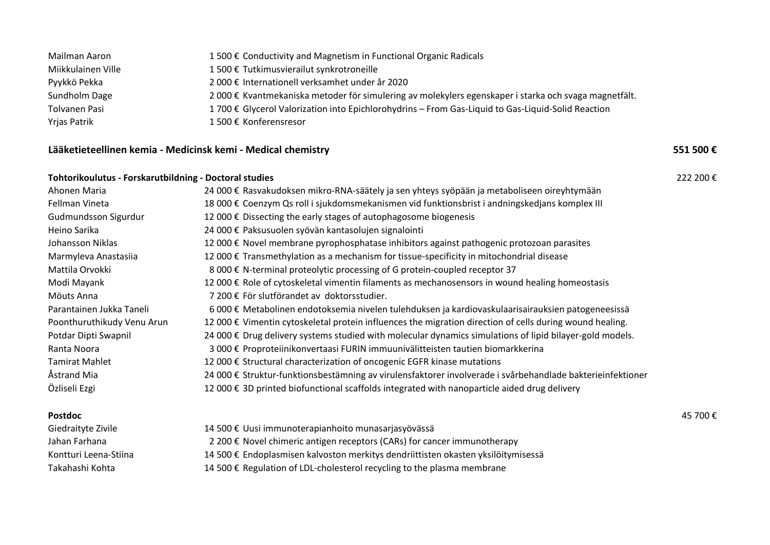| Mailman Aaron      | 1500 € Conductivity and Magnetism in Functional Organic Radicals                                      |
|--------------------|-------------------------------------------------------------------------------------------------------|
| Miikkulainen Ville | 1 500 € Tutkimusvierailut synkrotroneille                                                             |
| Pyykkö Pekka       | 2 000 € Internationell verksamhet under år 2020                                                       |
| Sundholm Dage      | 2 000 € Kvantmekaniska metoder för simulering av molekylers egenskaper i starka och svaga magnetfält. |
| Tolvanen Pasi      | 1 700 € Glycerol Valorization into Epichlorohydrins - From Gas-Liquid to Gas-Liquid-Solid Reaction    |
| Yrjas Patrik       | 1500 € Konferensresor                                                                                 |

## **Lääketieteellinen kemia - Medicinsk kemi - Medical chemistry 551 500 €**

## **Tohtorikoulutus - Forskarutbildning - Doctoral studies** 222 200 €

| Ahonen Maria               | 24 000 € Rasvakudoksen mikro-RNA-säätely ja sen yhteys syöpään ja metaboliseen oireyhtymään                |
|----------------------------|------------------------------------------------------------------------------------------------------------|
| Fellman Vineta             | 18 000 € Coenzym Qs roll i sjukdomsmekanismen vid funktionsbrist i andningskedjans komplex III             |
| Gudmundsson Sigurdur       | 12 000 € Dissecting the early stages of autophagosome biogenesis                                           |
| Heino Sarika               | 24 000 € Paksusuolen syövän kantasolujen signalointi                                                       |
| Johansson Niklas           | 12 000 € Novel membrane pyrophosphatase inhibitors against pathogenic protozoan parasites                  |
| Marmyleva Anastasiia       | 12 000 € Transmethylation as a mechanism for tissue-specificity in mitochondrial disease                   |
| Mattila Orvokki            | 8 000 € N-terminal proteolytic processing of G protein-coupled receptor 37                                 |
| Modi Mayank                | 12 000 € Role of cytoskeletal vimentin filaments as mechanosensors in wound healing homeostasis            |
| Möuts Anna                 | 7 200 € För slutförandet av doktorsstudier.                                                                |
| Parantainen Jukka Taneli   | 6 000 € Metabolinen endotoksemia nivelen tulehduksen ja kardiovaskulaarisairauksien patogeneesissä         |
| Poonthuruthikudy Venu Arun | 12 000 € Vimentin cytoskeletal protein influences the migration direction of cells during wound healing.   |
| Potdar Dipti Swapnil       | 24 000 € Drug delivery systems studied with molecular dynamics simulations of lipid bilayer-gold models.   |
| Ranta Noora                | 3 000 € Proproteiinikonvertaasi FURIN immuunivälitteisten tautien biomarkkerina                            |
| <b>Tamirat Mahlet</b>      | 12 000 € Structural characterization of oncogenic EGFR kinase mutations                                    |
| Åstrand Mia                | 24 000 € Struktur-funktionsbestämning av virulensfaktorer involverade i svårbehandlade bakterieinfektioner |
| Özliseli Ezgi              | 12 000 € 3D printed biofunctional scaffolds integrated with nanoparticle aided drug delivery               |

| <b>Postdoc</b>        |                                                                                   | 45 700 € |
|-----------------------|-----------------------------------------------------------------------------------|----------|
| Giedraityte Zivile    | 14 500 € Uusi immunoterapianhoito munasarjasyövässä                               |          |
| Jahan Farhana         | 2 200 € Novel chimeric antigen receptors (CARs) for cancer immunotherapy          |          |
| Kontturi Leena-Stiina | 14 500 € Endoplasmisen kalvoston merkitys dendriittisten okasten yksilöitymisessä |          |
| Takahashi Kohta       | 14 500 € Regulation of LDL-cholesterol recycling to the plasma membrane           |          |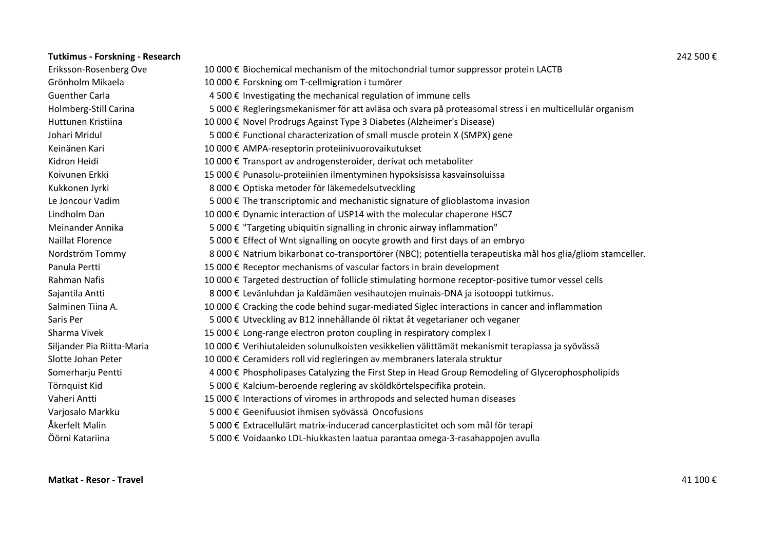| <b>Tutkimus - Forskning - Research</b> |                                                                                                            | 242 500€ |
|----------------------------------------|------------------------------------------------------------------------------------------------------------|----------|
| Eriksson-Rosenberg Ove                 | 10 000 € Biochemical mechanism of the mitochondrial tumor suppressor protein LACTB                         |          |
| Grönholm Mikaela                       | 10 000 € Forskning om T-cellmigration i tumörer                                                            |          |
| <b>Guenther Carla</b>                  | 4 500 € Investigating the mechanical regulation of immune cells                                            |          |
| Holmberg-Still Carina                  | 5 000 € Regleringsmekanismer för att avläsa och svara på proteasomal stress i en multicellulär organism    |          |
| Huttunen Kristiina                     | 10 000 € Novel Prodrugs Against Type 3 Diabetes (Alzheimer's Disease)                                      |          |
| Johari Mridul                          | 5 000 € Functional characterization of small muscle protein X (SMPX) gene                                  |          |
| Keinänen Kari                          | 10 000 € AMPA-reseptorin proteiinivuorovaikutukset                                                         |          |
| Kidron Heidi                           | 10 000 € Transport av androgensteroider, derivat och metaboliter                                           |          |
| Koivunen Erkki                         | 15 000 € Punasolu-proteiinien ilmentyminen hypoksisissa kasvainsoluissa                                    |          |
| Kukkonen Jyrki                         | 8 000 € Optiska metoder för läkemedelsutveckling                                                           |          |
| Le Joncour Vadim                       | 5 000 € The transcriptomic and mechanistic signature of glioblastoma invasion                              |          |
| Lindholm Dan                           | 10 000 € Dynamic interaction of USP14 with the molecular chaperone HSC7                                    |          |
| Meinander Annika                       | 5 000 € "Targeting ubiquitin signalling in chronic airway inflammation"                                    |          |
| <b>Naillat Florence</b>                | 5 000 € Effect of Wnt signalling on oocyte growth and first days of an embryo                              |          |
| Nordström Tommy                        | 8 000 € Natrium bikarbonat co-transportörer (NBC); potentiella terapeutiska mål hos glia/gliom stamceller. |          |
| Panula Pertti                          | 15 000 € Receptor mechanisms of vascular factors in brain development                                      |          |
| Rahman Nafis                           | 10 000 € Targeted destruction of follicle stimulating hormone receptor-positive tumor vessel cells         |          |
| Sajantila Antti                        | 8 000 € Levänluhdan ja Kaldämäen vesihautojen muinais-DNA ja isotooppi tutkimus.                           |          |
| Salminen Tiina A.                      | 10 000 € Cracking the code behind sugar-mediated Siglec interactions in cancer and inflammation            |          |
| Saris Per                              | 5 000 € Utveckling av B12 innehållande öl riktat åt vegetarianer och veganer                               |          |
| Sharma Vivek                           | 15 000 € Long-range electron proton coupling in respiratory complex I                                      |          |
| Siljander Pia Riitta-Maria             | 10 000 € Verihiutaleiden solunulkoisten vesikkelien välittämät mekanismit terapiassa ja syövässä           |          |
| Slotte Johan Peter                     | 10 000 € Ceramiders roll vid regleringen av membraners laterala struktur                                   |          |
| Somerharju Pentti                      | 4 000 € Phospholipases Catalyzing the First Step in Head Group Remodeling of Glycerophospholipids          |          |
| Törnquist Kid                          | 5 000 € Kalcium-beroende reglering av sköldkörtelspecifika protein.                                        |          |
| Vaheri Antti                           | 15 000 € Interactions of viromes in arthropods and selected human diseases                                 |          |
| Varjosalo Markku                       | 5 000 € Geenifuusiot ihmisen syövässä Oncofusions                                                          |          |
| Åkerfelt Malin                         | 5 000 € Extracellulärt matrix-inducerad cancerplasticitet och som mål för terapi                           |          |
| Öörni Katariina                        | 5 000 € Voidaanko LDL-hiukkasten laatua parantaa omega-3-rasahappojen avulla                               |          |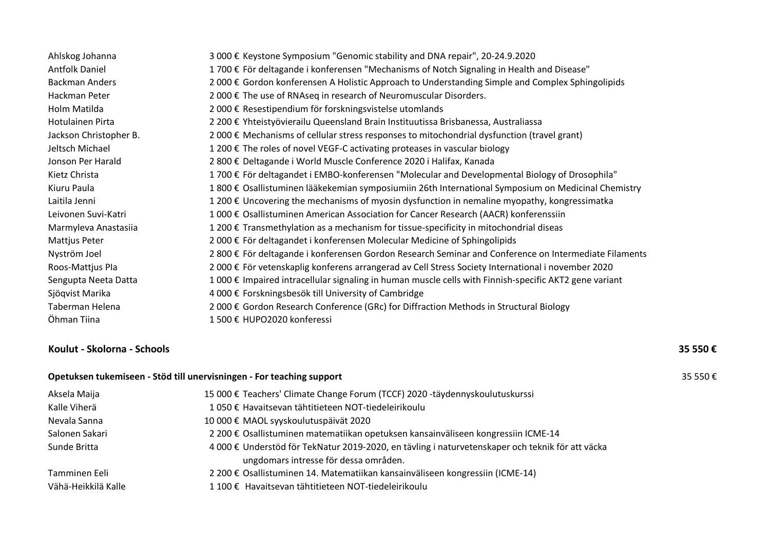| Ahlskog Johanna        | 3 000 € Keystone Symposium "Genomic stability and DNA repair", 20-24.9.2020                            |
|------------------------|--------------------------------------------------------------------------------------------------------|
| <b>Antfolk Daniel</b>  | 1700 € För deltagande i konferensen "Mechanisms of Notch Signaling in Health and Disease"              |
| <b>Backman Anders</b>  | 2 000 € Gordon konferensen A Holistic Approach to Understanding Simple and Complex Sphingolipids       |
| Hackman Peter          | 2 000 € The use of RNAseq in research of Neuromuscular Disorders.                                      |
| Holm Matilda           | 2 000 € Resestipendium för forskningsvistelse utomlands                                                |
| Hotulainen Pirta       | 2 200 € Yhteistyövierailu Queensland Brain Instituutissa Brisbanessa, Australiassa                     |
| Jackson Christopher B. | 2 000 € Mechanisms of cellular stress responses to mitochondrial dysfunction (travel grant)            |
| Jeltsch Michael        | 1 200 € The roles of novel VEGF-C activating proteases in vascular biology                             |
| Jonson Per Harald      | 2 800 € Deltagande i World Muscle Conference 2020 i Halifax, Kanada                                    |
| Kietz Christa          | 1 700 € För deltagandet i EMBO-konferensen "Molecular and Developmental Biology of Drosophila"         |
| Kiuru Paula            | 1 800 € Osallistuminen lääkekemian symposiumiin 26th International Symposium on Medicinal Chemistry    |
| Laitila Jenni          | 1 200 € Uncovering the mechanisms of myosin dysfunction in nemaline myopathy, kongressimatka           |
| Leivonen Suvi-Katri    | 1 000 € Osallistuminen American Association for Cancer Research (AACR) konferenssiin                   |
| Marmyleva Anastasiia   | 1 200 € Transmethylation as a mechanism for tissue-specificity in mitochondrial diseas                 |
| Mattjus Peter          | 2 000 € För deltagandet i konferensen Molecular Medicine of Sphingolipids                              |
| Nyström Joel           | 2 800 € För deltagande i konferensen Gordon Research Seminar and Conference on Intermediate Filaments  |
| Roos-Mattjus Pla       | 2 000 € För vetenskaplig konferens arrangerad av Cell Stress Society International i november 2020     |
| Sengupta Neeta Datta   | 1 000 € Impaired intracellular signaling in human muscle cells with Finnish-specific AKT2 gene variant |
| Sjöqvist Marika        | 4 000 € Forskningsbesök till University of Cambridge                                                   |
| Taberman Helena        | 2 000 € Gordon Research Conference (GRc) for Diffraction Methods in Structural Biology                 |
| Öhman Tiina            | 1 500 € HUPO2020 konferessi                                                                            |

## **Koulut - Skolorna - Schools 35 550 €**

| Opetuksen tukemiseen - Stöd till unervisningen - For teaching support |                                                                                                                                           |  |
|-----------------------------------------------------------------------|-------------------------------------------------------------------------------------------------------------------------------------------|--|
| Aksela Maija                                                          | 15 000 € Teachers' Climate Change Forum (TCCF) 2020 -täydennyskoulutuskurssi                                                              |  |
| Kalle Viherä                                                          | 1 050 € Havaitsevan tähtitieteen NOT-tiedeleirikoulu                                                                                      |  |
| Nevala Sanna                                                          | 10 000 € MAOL syyskoulutuspäivät 2020                                                                                                     |  |
| Salonen Sakari                                                        | 2 200 € Osallistuminen matematiikan opetuksen kansainväliseen kongressiin ICME-14                                                         |  |
| Sunde Britta                                                          | 4 000 € Understöd för TekNatur 2019-2020, en tävling i naturvetenskaper och teknik för att väcka<br>ungdomars intresse för dessa områden. |  |
| Tamminen Eeli                                                         | 2 200 € Osallistuminen 14. Matematiikan kansainväliseen kongressiin (ICME-14)                                                             |  |
| Vähä-Heikkilä Kalle                                                   | 1 100 € Havaitsevan tähtitieteen NOT-tiedeleirikoulu                                                                                      |  |